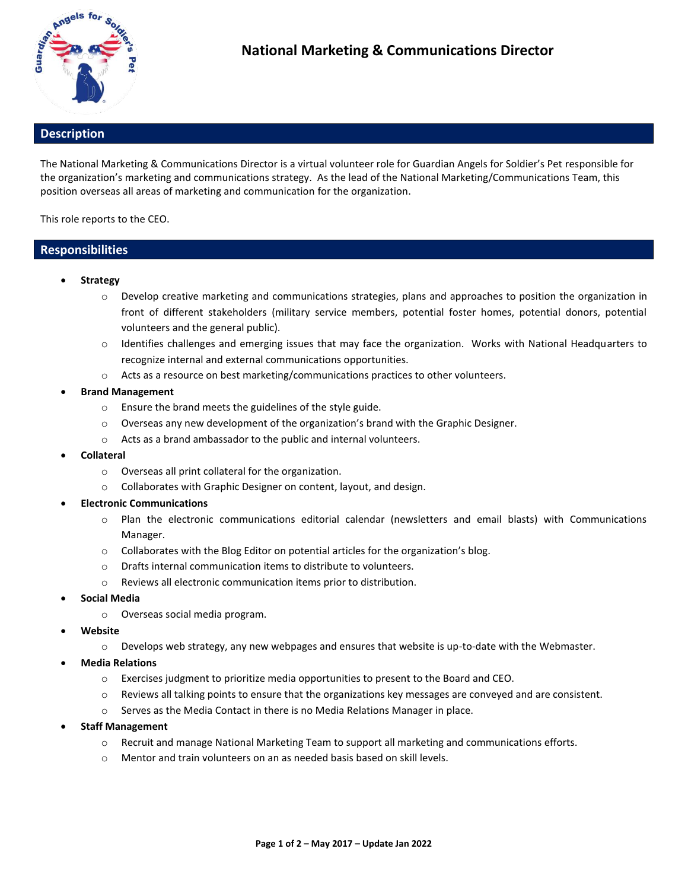

## **Description**

The National Marketing & Communications Director is a virtual volunteer role for Guardian Angels for Soldier's Pet responsible for the organization's marketing and communications strategy. As the lead of the National Marketing/Communications Team, this position overseas all areas of marketing and communication for the organization.

This role reports to the CEO.

### **Responsibilities**

- **Strategy**
	- o Develop creative marketing and communications strategies, plans and approaches to position the organization in front of different stakeholders (military service members, potential foster homes, potential donors, potential volunteers and the general public).
	- $\circ$  Identifies challenges and emerging issues that may face the organization. Works with National Headquarters to recognize internal and external communications opportunities.
	- o Acts as a resource on best marketing/communications practices to other volunteers.
- **Brand Management**
	- o Ensure the brand meets the guidelines of the style guide.
	- o Overseas any new development of the organization's brand with the Graphic Designer.
	- o Acts as a brand ambassador to the public and internal volunteers.
- **Collateral**
	- o Overseas all print collateral for the organization.
	- o Collaborates with Graphic Designer on content, layout, and design.
- **Electronic Communications**
	- o Plan the electronic communications editorial calendar (newsletters and email blasts) with Communications Manager.
	- o Collaborates with the Blog Editor on potential articles for the organization's blog.
	- $\circ$  Drafts internal communication items to distribute to volunteers.
	- o Reviews all electronic communication items prior to distribution.
- **Social Media**
	- o Overseas social media program.
- **Website**
	- $\circ$  Develops web strategy, any new webpages and ensures that website is up-to-date with the Webmaster.
- **Media Relations**
	- o Exercises judgment to prioritize media opportunities to present to the Board and CEO.
	- $\circ$  Reviews all talking points to ensure that the organizations key messages are conveyed and are consistent.
	- o Serves as the Media Contact in there is no Media Relations Manager in place.
- **Staff Management**
	- o Recruit and manage National Marketing Team to support all marketing and communications efforts.
	- o Mentor and train volunteers on an as needed basis based on skill levels.